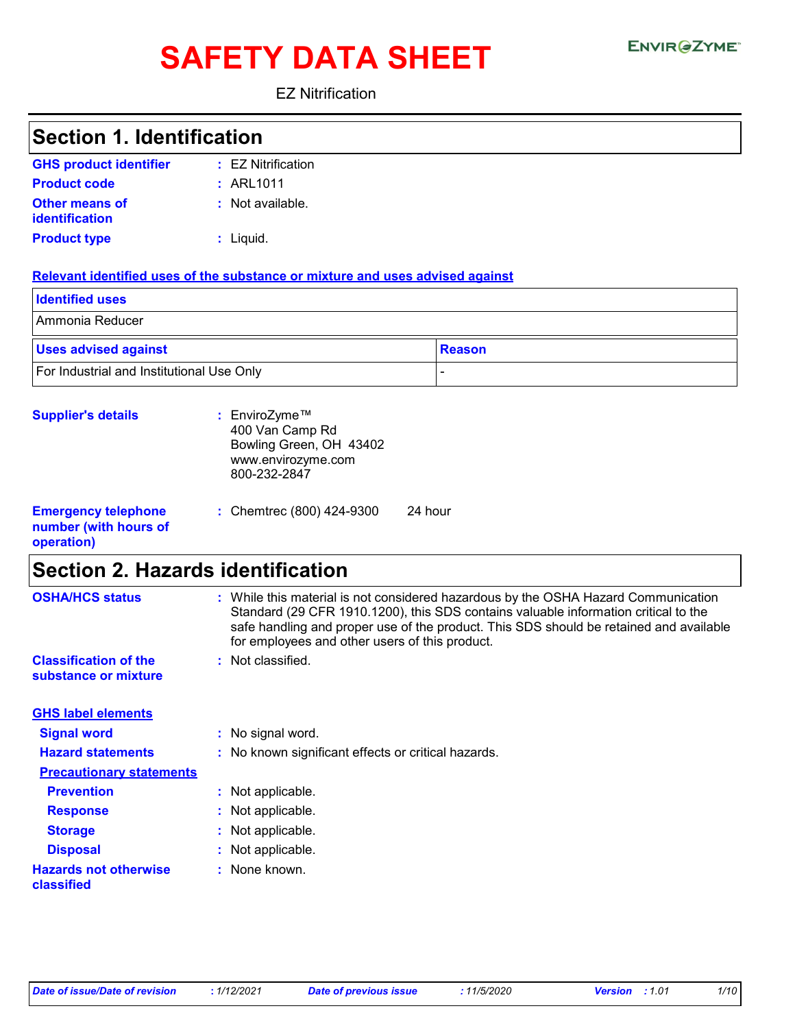# SAFETY DATA SHEET ENVIRGETMEN

EZ Nitrification

| <b>Section 1. Identification</b>           |                                                                                                                                                                                                                                                                                                                       |  |  |  |  |
|--------------------------------------------|-----------------------------------------------------------------------------------------------------------------------------------------------------------------------------------------------------------------------------------------------------------------------------------------------------------------------|--|--|--|--|
| <b>GHS product identifier</b>              | : EZ Nitrification                                                                                                                                                                                                                                                                                                    |  |  |  |  |
| <b>Product code</b>                        | : ARL1011                                                                                                                                                                                                                                                                                                             |  |  |  |  |
| Other means of                             | : Not available.                                                                                                                                                                                                                                                                                                      |  |  |  |  |
| identification                             |                                                                                                                                                                                                                                                                                                                       |  |  |  |  |
| <b>Product type</b>                        | $:$ Liquid.                                                                                                                                                                                                                                                                                                           |  |  |  |  |
|                                            | Relevant identified uses of the substance or mixture and uses advised against                                                                                                                                                                                                                                         |  |  |  |  |
| <b>Identified uses</b>                     |                                                                                                                                                                                                                                                                                                                       |  |  |  |  |
| Ammonia Reducer                            |                                                                                                                                                                                                                                                                                                                       |  |  |  |  |
| <b>Uses advised against</b>                | <b>Reason</b>                                                                                                                                                                                                                                                                                                         |  |  |  |  |
| For Industrial and Institutional Use Only  |                                                                                                                                                                                                                                                                                                                       |  |  |  |  |
| <b>Supplier's details</b>                  | : EnviroZyme™                                                                                                                                                                                                                                                                                                         |  |  |  |  |
|                                            | 400 Van Camp Rd                                                                                                                                                                                                                                                                                                       |  |  |  |  |
|                                            | Bowling Green, OH 43402<br>www.envirozyme.com                                                                                                                                                                                                                                                                         |  |  |  |  |
|                                            | 800-232-2847                                                                                                                                                                                                                                                                                                          |  |  |  |  |
| <b>Emergency telephone</b>                 | 24 hour<br>: Chemtrec (800) 424-9300                                                                                                                                                                                                                                                                                  |  |  |  |  |
| number (with hours of<br>operation)        |                                                                                                                                                                                                                                                                                                                       |  |  |  |  |
| <b>Section 2. Hazards identification</b>   |                                                                                                                                                                                                                                                                                                                       |  |  |  |  |
| <b>OSHA/HCS status</b>                     | : While this material is not considered hazardous by the OSHA Hazard Communication<br>Standard (29 CFR 1910.1200), this SDS contains valuable information critical to the<br>safe handling and proper use of the product. This SDS should be retained and available<br>for employees and other users of this product. |  |  |  |  |
| <b>Classification of the</b>               | : Not classified.                                                                                                                                                                                                                                                                                                     |  |  |  |  |
| substance or mixture                       |                                                                                                                                                                                                                                                                                                                       |  |  |  |  |
| <b>GHS label elements</b>                  |                                                                                                                                                                                                                                                                                                                       |  |  |  |  |
| <b>Signal word</b>                         | : No signal word.                                                                                                                                                                                                                                                                                                     |  |  |  |  |
| <b>Hazard statements</b>                   | : No known significant effects or critical hazards.                                                                                                                                                                                                                                                                   |  |  |  |  |
| <b>Precautionary statements</b>            |                                                                                                                                                                                                                                                                                                                       |  |  |  |  |
| <b>Prevention</b>                          | : Not applicable.                                                                                                                                                                                                                                                                                                     |  |  |  |  |
| <b>Response</b>                            | Not applicable.                                                                                                                                                                                                                                                                                                       |  |  |  |  |
| <b>Storage</b>                             | Not applicable.                                                                                                                                                                                                                                                                                                       |  |  |  |  |
| <b>Disposal</b>                            | Not applicable.                                                                                                                                                                                                                                                                                                       |  |  |  |  |
| <b>Hazards not otherwise</b><br>classified | : None known.                                                                                                                                                                                                                                                                                                         |  |  |  |  |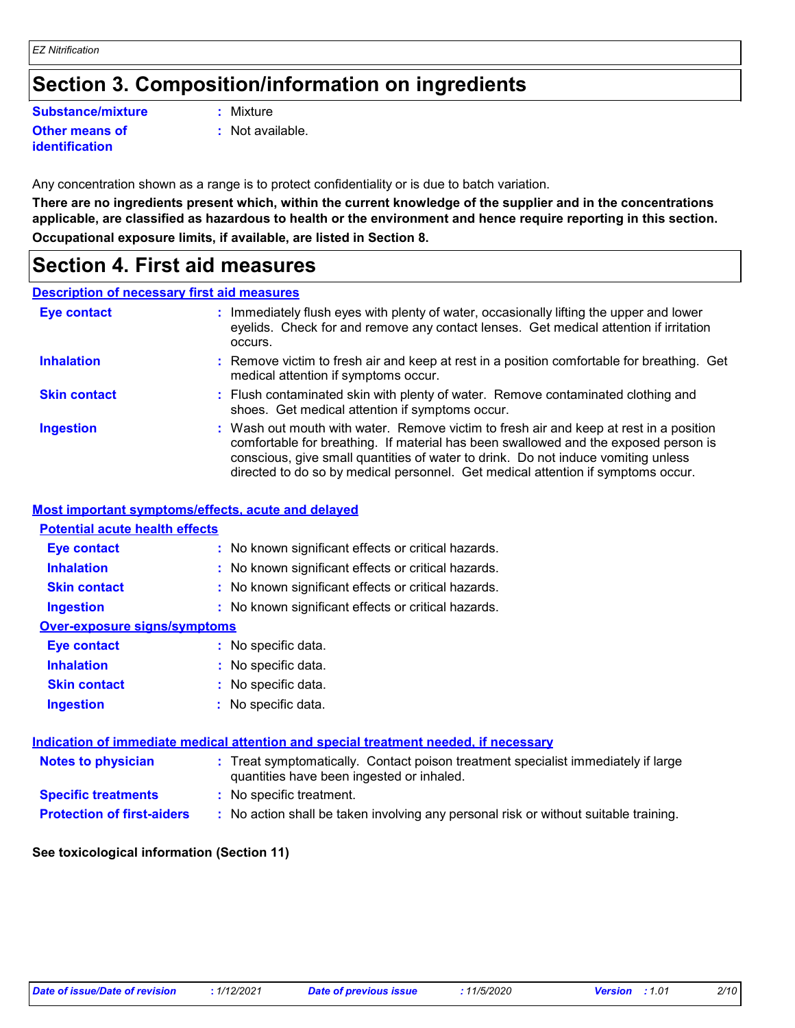### **Section 3. Composition/information on ingredients**

### **Substance/mixture :**

#### **Other means of identification**

- Mixture
- **:** Not available.

Any concentration shown as a range is to protect confidentiality or is due to batch variation.

**There are no ingredients present which, within the current knowledge of the supplier and in the concentrations applicable, are classified as hazardous to health or the environment and hence require reporting in this section. Occupational exposure limits, if available, are listed in Section 8.**

### **Section 4. First aid measures**

### **Description of necessary first aid measures**

| <b>Eye contact</b>  | : Immediately flush eyes with plenty of water, occasionally lifting the upper and lower<br>eyelids. Check for and remove any contact lenses. Get medical attention if irritation<br>occurs.                                                                                                                                                            |
|---------------------|--------------------------------------------------------------------------------------------------------------------------------------------------------------------------------------------------------------------------------------------------------------------------------------------------------------------------------------------------------|
| <b>Inhalation</b>   | : Remove victim to fresh air and keep at rest in a position comfortable for breathing. Get<br>medical attention if symptoms occur.                                                                                                                                                                                                                     |
| <b>Skin contact</b> | : Flush contaminated skin with plenty of water. Remove contaminated clothing and<br>shoes. Get medical attention if symptoms occur.                                                                                                                                                                                                                    |
| <b>Ingestion</b>    | : Wash out mouth with water. Remove victim to fresh air and keep at rest in a position<br>comfortable for breathing. If material has been swallowed and the exposed person is<br>conscious, give small quantities of water to drink. Do not induce vomiting unless<br>directed to do so by medical personnel. Get medical attention if symptoms occur. |

#### **Most important symptoms/effects, acute and delayed**

### **Notes to physician <b>:** Treat symptomatically. Contact poison treatment specialist immediately if large quantities have been ingested or inhaled. **Specific treatments :** No specific treatment. **Inhalation <b>:** No known significant effects or critical hazards. **Ingestion :** No known significant effects or critical hazards. **Skin contact :** No known significant effects or critical hazards. **Eye contact :** No known significant effects or critical hazards. **Over-exposure signs/symptoms Skin contact Ingestion Inhalation :** No specific data. No specific data. **:** No specific data. **: Eye contact :** No specific data. **Potential acute health effects Indication of immediate medical attention and special treatment needed, if necessary**

**Protection of first-aiders** : No action shall be taken involving any personal risk or without suitable training.

#### **See toxicological information (Section 11)**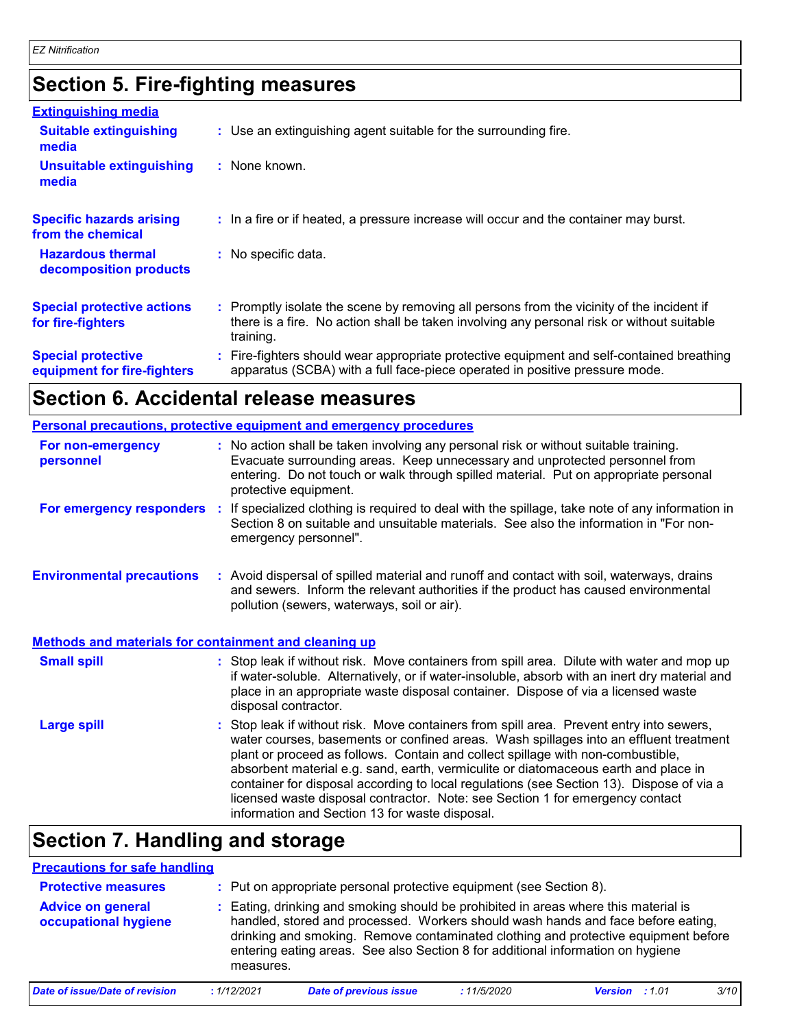# **Section 5. Fire-fighting measures**

| <b>Extinguishing media</b>                               |                                                                                                                                                                                                     |
|----------------------------------------------------------|-----------------------------------------------------------------------------------------------------------------------------------------------------------------------------------------------------|
| <b>Suitable extinguishing</b><br>media                   | : Use an extinguishing agent suitable for the surrounding fire.                                                                                                                                     |
| <b>Unsuitable extinguishing</b><br>media                 | : None known.                                                                                                                                                                                       |
| <b>Specific hazards arising</b><br>from the chemical     | : In a fire or if heated, a pressure increase will occur and the container may burst.                                                                                                               |
| <b>Hazardous thermal</b><br>decomposition products       | : No specific data.                                                                                                                                                                                 |
| <b>Special protective actions</b><br>for fire-fighters   | : Promptly isolate the scene by removing all persons from the vicinity of the incident if<br>there is a fire. No action shall be taken involving any personal risk or without suitable<br>training. |
| <b>Special protective</b><br>equipment for fire-fighters | : Fire-fighters should wear appropriate protective equipment and self-contained breathing<br>apparatus (SCBA) with a full face-piece operated in positive pressure mode.                            |

# **Section 6. Accidental release measures**

|                                                              | Personal precautions, protective equipment and emergency procedures                                                                                                                                                                                                                                                                                                                                                                                                                                                                                                                        |
|--------------------------------------------------------------|--------------------------------------------------------------------------------------------------------------------------------------------------------------------------------------------------------------------------------------------------------------------------------------------------------------------------------------------------------------------------------------------------------------------------------------------------------------------------------------------------------------------------------------------------------------------------------------------|
| For non-emergency<br>personnel                               | : No action shall be taken involving any personal risk or without suitable training.<br>Evacuate surrounding areas. Keep unnecessary and unprotected personnel from<br>entering. Do not touch or walk through spilled material. Put on appropriate personal<br>protective equipment.                                                                                                                                                                                                                                                                                                       |
|                                                              | For emergency responders : If specialized clothing is required to deal with the spillage, take note of any information in<br>Section 8 on suitable and unsuitable materials. See also the information in "For non-<br>emergency personnel".                                                                                                                                                                                                                                                                                                                                                |
| <b>Environmental precautions</b>                             | : Avoid dispersal of spilled material and runoff and contact with soil, waterways, drains<br>and sewers. Inform the relevant authorities if the product has caused environmental<br>pollution (sewers, waterways, soil or air).                                                                                                                                                                                                                                                                                                                                                            |
| <b>Methods and materials for containment and cleaning up</b> |                                                                                                                                                                                                                                                                                                                                                                                                                                                                                                                                                                                            |
| <b>Small spill</b>                                           | : Stop leak if without risk. Move containers from spill area. Dilute with water and mop up<br>if water-soluble. Alternatively, or if water-insoluble, absorb with an inert dry material and<br>place in an appropriate waste disposal container. Dispose of via a licensed waste<br>disposal contractor.                                                                                                                                                                                                                                                                                   |
| <b>Large spill</b>                                           | : Stop leak if without risk. Move containers from spill area. Prevent entry into sewers,<br>water courses, basements or confined areas. Wash spillages into an effluent treatment<br>plant or proceed as follows. Contain and collect spillage with non-combustible,<br>absorbent material e.g. sand, earth, vermiculite or diatomaceous earth and place in<br>container for disposal according to local regulations (see Section 13). Dispose of via a<br>licensed waste disposal contractor. Note: see Section 1 for emergency contact<br>information and Section 13 for waste disposal. |
|                                                              |                                                                                                                                                                                                                                                                                                                                                                                                                                                                                                                                                                                            |

### **Section 7. Handling and storage**

| <b>Precautions for safe handling</b>             |             |                                                                                                                                                                                                                                                                                                                                                  |            |                       |      |
|--------------------------------------------------|-------------|--------------------------------------------------------------------------------------------------------------------------------------------------------------------------------------------------------------------------------------------------------------------------------------------------------------------------------------------------|------------|-----------------------|------|
| <b>Protective measures</b>                       |             | : Put on appropriate personal protective equipment (see Section 8).                                                                                                                                                                                                                                                                              |            |                       |      |
| <b>Advice on general</b><br>occupational hygiene | measures.   | : Eating, drinking and smoking should be prohibited in areas where this material is<br>handled, stored and processed. Workers should wash hands and face before eating,<br>drinking and smoking. Remove contaminated clothing and protective equipment before<br>entering eating areas. See also Section 8 for additional information on hygiene |            |                       |      |
| <b>Date of issue/Date of revision</b>            | : 1/12/2021 | <b>Date of previous issue</b>                                                                                                                                                                                                                                                                                                                    | :11/5/2020 | <b>Version</b> : 1.01 | 3/10 |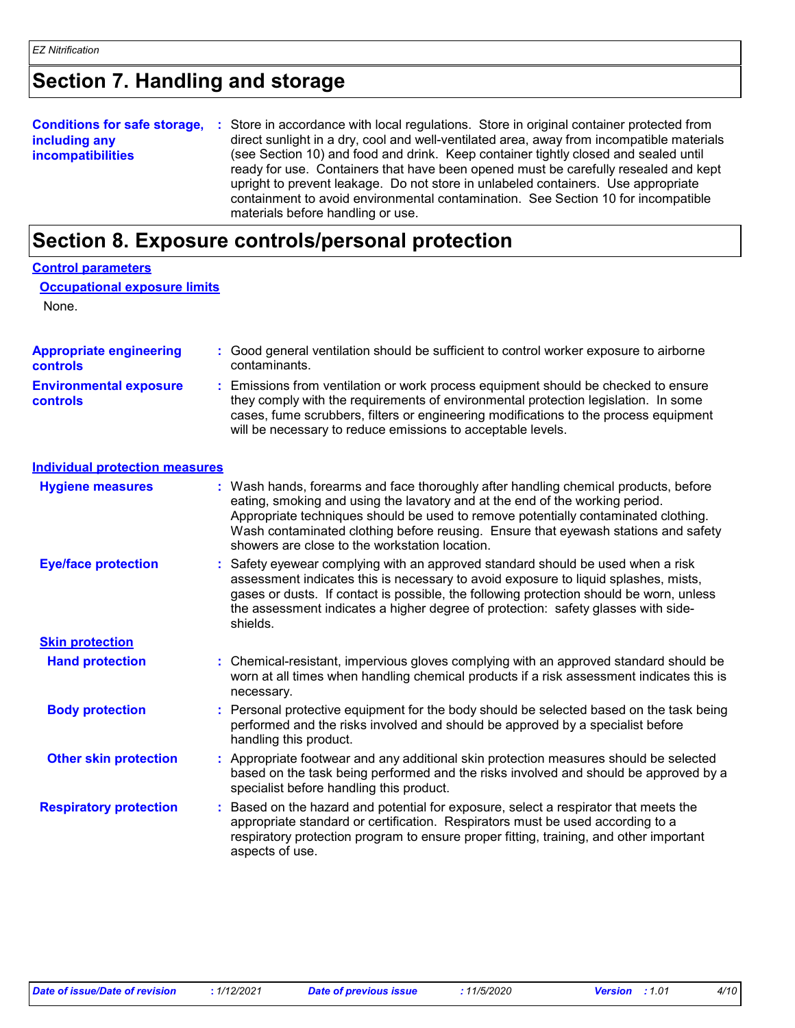### **Section 7. Handling and storage**

#### **Conditions for safe storage, including any incompatibilities** Store in accordance with local regulations. Store in original container protected from **:** direct sunlight in a dry, cool and well-ventilated area, away from incompatible materials (see Section 10) and food and drink. Keep container tightly closed and sealed until ready for use. Containers that have been opened must be carefully resealed and kept upright to prevent leakage. Do not store in unlabeled containers. Use appropriate containment to avoid environmental contamination. See Section 10 for incompatible materials before handling or use.

### **Section 8. Exposure controls/personal protection**

| <b>Control parameters</b>                         |    |                                                                                                                                                                                                                                                                                                                                                                                                 |
|---------------------------------------------------|----|-------------------------------------------------------------------------------------------------------------------------------------------------------------------------------------------------------------------------------------------------------------------------------------------------------------------------------------------------------------------------------------------------|
| <b>Occupational exposure limits</b>               |    |                                                                                                                                                                                                                                                                                                                                                                                                 |
| None.                                             |    |                                                                                                                                                                                                                                                                                                                                                                                                 |
| <b>Appropriate engineering</b><br><b>controls</b> |    | : Good general ventilation should be sufficient to control worker exposure to airborne<br>contaminants.                                                                                                                                                                                                                                                                                         |
| <b>Environmental exposure</b><br><b>controls</b>  |    | Emissions from ventilation or work process equipment should be checked to ensure<br>they comply with the requirements of environmental protection legislation. In some<br>cases, fume scrubbers, filters or engineering modifications to the process equipment<br>will be necessary to reduce emissions to acceptable levels.                                                                   |
| <b>Individual protection measures</b>             |    |                                                                                                                                                                                                                                                                                                                                                                                                 |
| <b>Hygiene measures</b>                           |    | Wash hands, forearms and face thoroughly after handling chemical products, before<br>eating, smoking and using the lavatory and at the end of the working period.<br>Appropriate techniques should be used to remove potentially contaminated clothing.<br>Wash contaminated clothing before reusing. Ensure that eyewash stations and safety<br>showers are close to the workstation location. |
| <b>Eye/face protection</b>                        |    | Safety eyewear complying with an approved standard should be used when a risk<br>assessment indicates this is necessary to avoid exposure to liquid splashes, mists,<br>gases or dusts. If contact is possible, the following protection should be worn, unless<br>the assessment indicates a higher degree of protection: safety glasses with side-<br>shields.                                |
| <b>Skin protection</b>                            |    |                                                                                                                                                                                                                                                                                                                                                                                                 |
| <b>Hand protection</b>                            |    | : Chemical-resistant, impervious gloves complying with an approved standard should be<br>worn at all times when handling chemical products if a risk assessment indicates this is<br>necessary.                                                                                                                                                                                                 |
| <b>Body protection</b>                            |    | : Personal protective equipment for the body should be selected based on the task being<br>performed and the risks involved and should be approved by a specialist before<br>handling this product.                                                                                                                                                                                             |
| <b>Other skin protection</b>                      |    | : Appropriate footwear and any additional skin protection measures should be selected<br>based on the task being performed and the risks involved and should be approved by a<br>specialist before handling this product.                                                                                                                                                                       |
| <b>Respiratory protection</b>                     | ÷. | Based on the hazard and potential for exposure, select a respirator that meets the<br>appropriate standard or certification. Respirators must be used according to a<br>respiratory protection program to ensure proper fitting, training, and other important<br>aspects of use.                                                                                                               |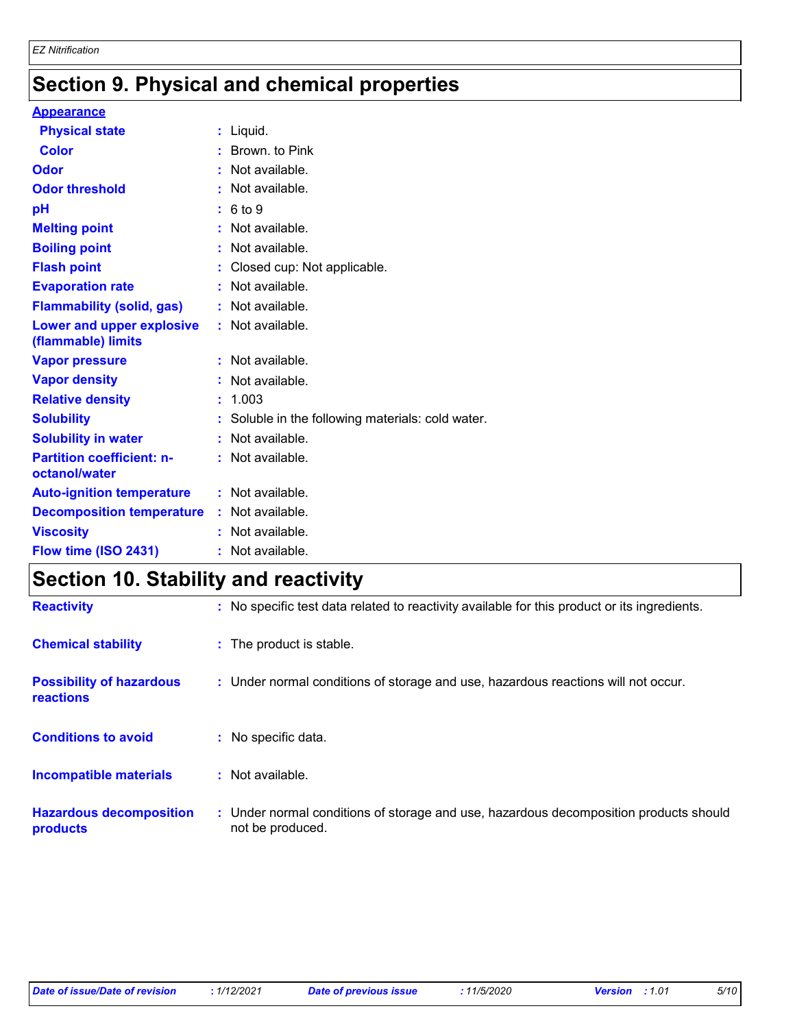# **Section 9. Physical and chemical properties**

#### **Appearance**

| <b>Section 10. Stability and reactivity</b>       |                                                   |  |
|---------------------------------------------------|---------------------------------------------------|--|
| Flow time (ISO 2431)                              | : Not available.                                  |  |
| <b>Viscosity</b>                                  | : Not available.                                  |  |
| <b>Decomposition temperature</b>                  | : Not available.                                  |  |
| <b>Auto-ignition temperature</b>                  | : Not available.                                  |  |
| <b>Partition coefficient: n-</b><br>octanol/water | : Not available.                                  |  |
| <b>Solubility in water</b>                        | : Not available.                                  |  |
| <b>Solubility</b>                                 | : Soluble in the following materials: cold water. |  |
| <b>Relative density</b>                           | : 1.003                                           |  |
| <b>Vapor density</b>                              | : Not available.                                  |  |
| <b>Vapor pressure</b>                             | : Not available.                                  |  |
| Lower and upper explosive<br>(flammable) limits   | : Not available.                                  |  |
| <b>Flammability (solid, gas)</b>                  | : Not available.                                  |  |
| <b>Evaporation rate</b>                           | : Not available.                                  |  |
| <b>Flash point</b>                                | : Closed cup: Not applicable.                     |  |
| <b>Boiling point</b>                              | : Not available.                                  |  |
| <b>Melting point</b>                              | : Not available.                                  |  |
| pH                                                | : 6 to 9                                          |  |
| <b>Odor threshold</b>                             | : Not available.                                  |  |
| Odor                                              | : Not available.                                  |  |
| <b>Color</b>                                      | : Brown. to Pink                                  |  |
| <b>Physical state</b>                             | $:$ Liquid.                                       |  |

### **Section 10. Stability and reactivity**

| <b>Reactivity</b>                            | : No specific test data related to reactivity available for this product or its ingredients.              |
|----------------------------------------------|-----------------------------------------------------------------------------------------------------------|
| <b>Chemical stability</b>                    | : The product is stable.                                                                                  |
| <b>Possibility of hazardous</b><br>reactions | : Under normal conditions of storage and use, hazardous reactions will not occur.                         |
| <b>Conditions to avoid</b>                   | $:$ No specific data.                                                                                     |
| <b>Incompatible materials</b>                | $:$ Not available.                                                                                        |
| <b>Hazardous decomposition</b><br>products   | : Under normal conditions of storage and use, hazardous decomposition products should<br>not be produced. |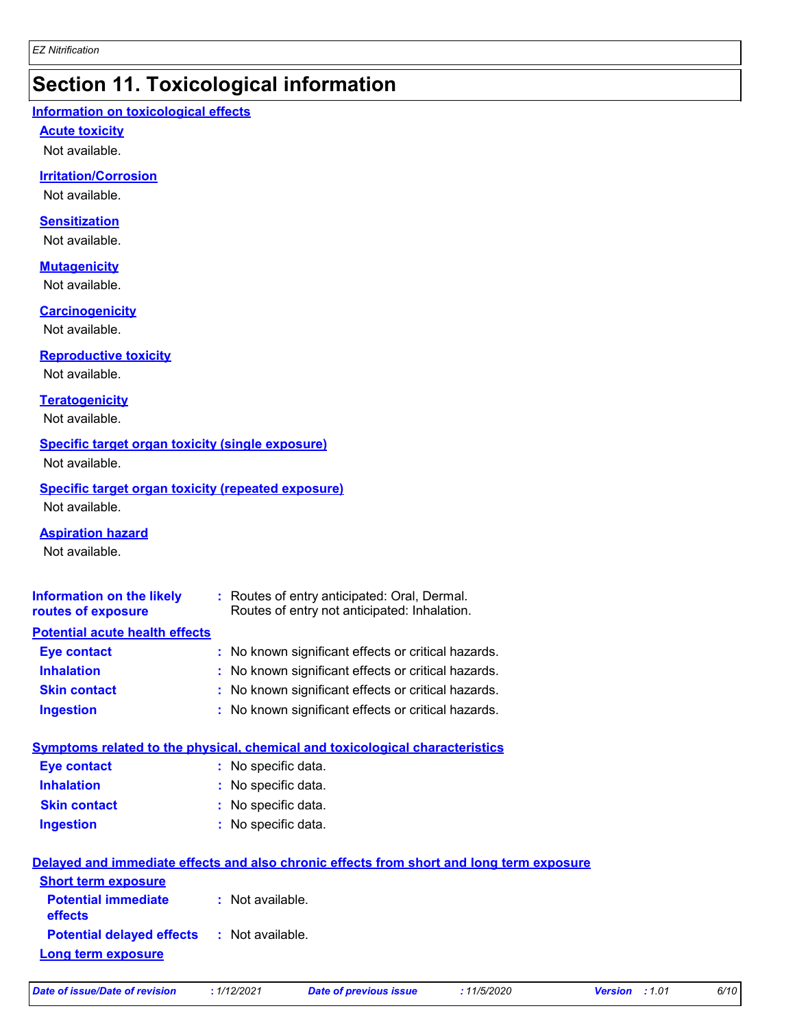### **Section 11. Toxicological information**

#### **Information on toxicological effects**

#### **Acute toxicity**

Not available.

### **Irritation/Corrosion**

Not available.

#### **Sensitization**

Not available.

### **Mutagenicity**

Not available.

#### **Carcinogenicity**

Not available.

#### **Reproductive toxicity**

Not available.

### **Teratogenicity**

Not available.

#### **Specific target organ toxicity (single exposure)**

Not available.

### **Specific target organ toxicity (repeated exposure)**

Not available.

#### **Aspiration hazard**

Not available.

| Information on the likely<br>routes of exposure | : Routes of entry anticipated: Oral, Dermal.<br>Routes of entry not anticipated: Inhalation. |
|-------------------------------------------------|----------------------------------------------------------------------------------------------|
| <b>Potential acute health effects</b>           |                                                                                              |
| <b>Eye contact</b>                              | : No known significant effects or critical hazards.                                          |
| <b>Inhalation</b>                               | : No known significant effects or critical hazards.                                          |
| <b>Skin contact</b>                             | : No known significant effects or critical hazards.                                          |
| <b>Ingestion</b>                                | : No known significant effects or critical hazards.                                          |
|                                                 | <u>Symptoms related to the physical, chemical and toxicological characteristics</u>          |

| <b>Eye contact</b>  | : No specific data. |
|---------------------|---------------------|
| <b>Inhalation</b>   | : No specific data. |
| <b>Skin contact</b> | : No specific data. |
| <b>Ingestion</b>    | : No specific data. |

|                                                   | Delayed and immediate effects and also chronic effects from short and long term exposure |
|---------------------------------------------------|------------------------------------------------------------------------------------------|
| <b>Short term exposure</b>                        |                                                                                          |
| <b>Potential immediate</b><br><b>effects</b>      | : Not available.                                                                         |
| <b>Potential delayed effects : Not available.</b> |                                                                                          |
| Long term exposure                                |                                                                                          |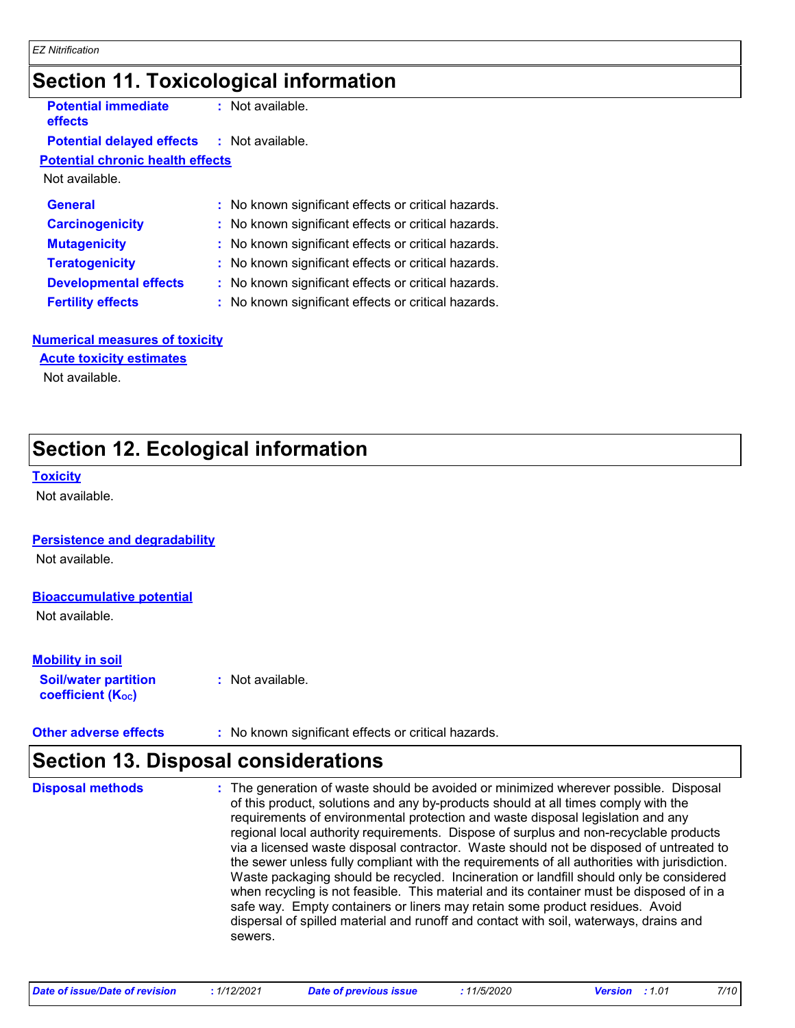### **Section 11. Toxicological information**

| <b>Potential immediate</b>       |
|----------------------------------|
| <b>effects</b>                   |
| <b>Potential delayed effects</b> |

**:** Not available.

### **effects** : Not available.

### **Potential chronic health effects**

Not available.

| <b>General</b>               | : No known significant effects or critical hazards. |
|------------------------------|-----------------------------------------------------|
| <b>Carcinogenicity</b>       | : No known significant effects or critical hazards. |
| <b>Mutagenicity</b>          | : No known significant effects or critical hazards. |
| <b>Teratogenicity</b>        | : No known significant effects or critical hazards. |
| <b>Developmental effects</b> | : No known significant effects or critical hazards. |
| <b>Fertility effects</b>     | : No known significant effects or critical hazards. |

#### **Numerical measures of toxicity**

**Acute toxicity estimates**

Not available.

## **Section 12. Ecological information**

#### **Toxicity**

Not available.

#### **Persistence and degradability**

Not available.

### **Bioaccumulative potential**

Not available.

### **Mobility in soil**

**Soil/water partition coefficient (Koc)** 

**:** Not available.

**Other adverse effects** : No known significant effects or critical hazards.

### **Section 13. Disposal considerations**

The generation of waste should be avoided or minimized wherever possible. Disposal of this product, solutions and any by-products should at all times comply with the requirements of environmental protection and waste disposal legislation and any regional local authority requirements. Dispose of surplus and non-recyclable products via a licensed waste disposal contractor. Waste should not be disposed of untreated to the sewer unless fully compliant with the requirements of all authorities with jurisdiction. Waste packaging should be recycled. Incineration or landfill should only be considered when recycling is not feasible. This material and its container must be disposed of in a safe way. Empty containers or liners may retain some product residues. Avoid dispersal of spilled material and runoff and contact with soil, waterways, drains and sewers. **Disposal methods :**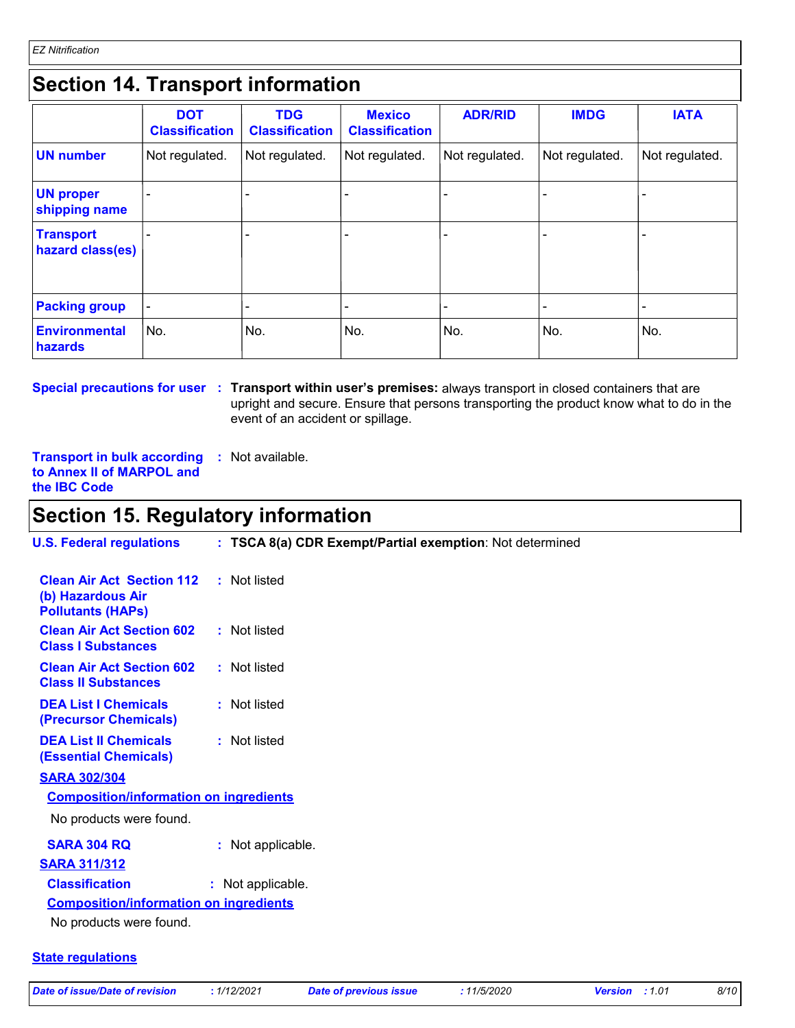### **Section 14. Transport information**

|                                      | <b>DOT</b><br><b>Classification</b> | <b>TDG</b><br><b>Classification</b> | <b>Mexico</b><br><b>Classification</b> | <b>ADR/RID</b> | <b>IMDG</b>    | <b>IATA</b>              |
|--------------------------------------|-------------------------------------|-------------------------------------|----------------------------------------|----------------|----------------|--------------------------|
| <b>UN number</b>                     | Not regulated.                      | Not regulated.                      | Not regulated.                         | Not regulated. | Not regulated. | Not regulated.           |
| <b>UN proper</b><br>shipping name    |                                     |                                     |                                        |                |                |                          |
| <b>Transport</b><br>hazard class(es) |                                     |                                     |                                        |                |                |                          |
| <b>Packing group</b>                 |                                     |                                     |                                        |                |                | $\overline{\phantom{a}}$ |
| <b>Environmental</b><br>hazards      | No.                                 | No.                                 | No.                                    | No.            | No.            | No.                      |

**Special precautions for user** : Transport within user's premises: always transport in closed containers that are upright and secure. Ensure that persons transporting the product know what to do in the event of an accident or spillage.

**Transport in bulk according :** Not available. **to Annex II of MARPOL and the IBC Code**

### **Section 15. Regulatory information**

| <b>U.S. Federal regulations</b>                                                   | : TSCA 8(a) CDR Exempt/Partial exemption: Not determined |
|-----------------------------------------------------------------------------------|----------------------------------------------------------|
| <b>Clean Air Act Section 112</b><br>(b) Hazardous Air<br><b>Pollutants (HAPS)</b> | : Not listed                                             |
| <b>Clean Air Act Section 602</b><br><b>Class I Substances</b>                     | : Not listed                                             |
| <b>Clean Air Act Section 602</b><br><b>Class II Substances</b>                    | : Not listed                                             |
| <b>DEA List I Chemicals</b><br>(Precursor Chemicals)                              | : Not listed                                             |
| <b>DEA List II Chemicals</b><br><b>(Essential Chemicals)</b>                      | : Not listed                                             |
| <b>SARA 302/304</b>                                                               |                                                          |
| <b>Composition/information on ingredients</b>                                     |                                                          |
| No products were found.                                                           |                                                          |
| <b>SARA 304 RQ</b>                                                                | : Not applicable.                                        |
| <b>SARA 311/312</b>                                                               |                                                          |
| <b>Classification</b>                                                             | : Not applicable.                                        |
| <b>Composition/information on ingredients</b>                                     |                                                          |
| No products were found.                                                           |                                                          |
|                                                                                   |                                                          |

### **State regulations**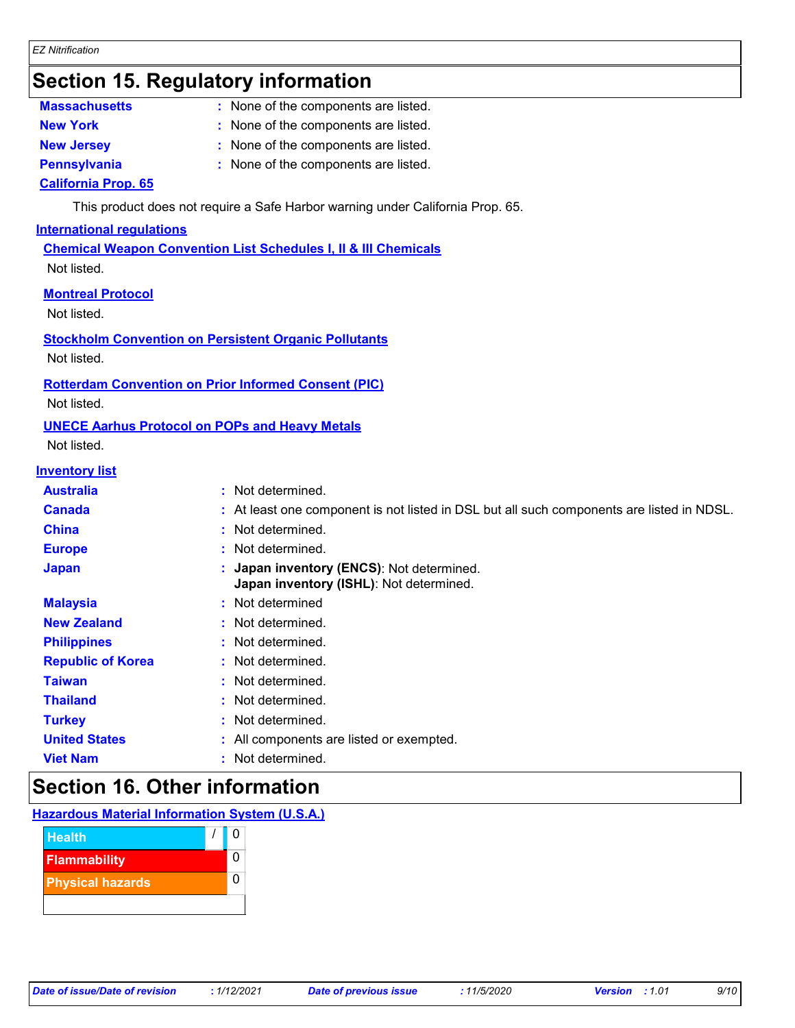### **Section 15. Regulatory information**

| <b>Massachusetts</b> | $:$ None $\circ$ |
|----------------------|------------------|
|                      |                  |

- of the components are listed.
- **New York :** None of the components are listed.
- **New Jersey :** None of the components are listed.
- **Pennsylvania :** None of the components are listed.

### **California Prop. 65**

This product does not require a Safe Harbor warning under California Prop. 65.

### **International regulations**

**Chemical Weapon Convention List Schedules I, II & III Chemicals** Not listed.

### **Montreal Protocol**

Not listed.

### **Stockholm Convention on Persistent Organic Pollutants**

Not listed.

### **Rotterdam Convention on Prior Informed Consent (PIC)**

Not listed.

### **UNECE Aarhus Protocol on POPs and Heavy Metals**

Not listed.

### **Inventory list**

| IIVEIILUI VIISL          |                                                                                           |
|--------------------------|-------------------------------------------------------------------------------------------|
| <b>Australia</b>         | : Not determined.                                                                         |
| <b>Canada</b>            | : At least one component is not listed in DSL but all such components are listed in NDSL. |
| <b>China</b>             | : Not determined.                                                                         |
| <b>Europe</b>            | : Not determined.                                                                         |
| <b>Japan</b>             | : Japan inventory (ENCS): Not determined.<br>Japan inventory (ISHL): Not determined.      |
| <b>Malaysia</b>          | : Not determined                                                                          |
| <b>New Zealand</b>       | : Not determined.                                                                         |
| <b>Philippines</b>       | : Not determined.                                                                         |
| <b>Republic of Korea</b> | : Not determined.                                                                         |
| <b>Taiwan</b>            | : Not determined.                                                                         |
| <b>Thailand</b>          | : Not determined.                                                                         |
| <b>Turkey</b>            | : Not determined.                                                                         |
| <b>United States</b>     | : All components are listed or exempted.                                                  |
| <b>Viet Nam</b>          | : Not determined.                                                                         |
|                          |                                                                                           |

### **Section 16. Other information**

| <b>Hazardous Material Information System (U.S.A.)</b> |
|-------------------------------------------------------|
|-------------------------------------------------------|